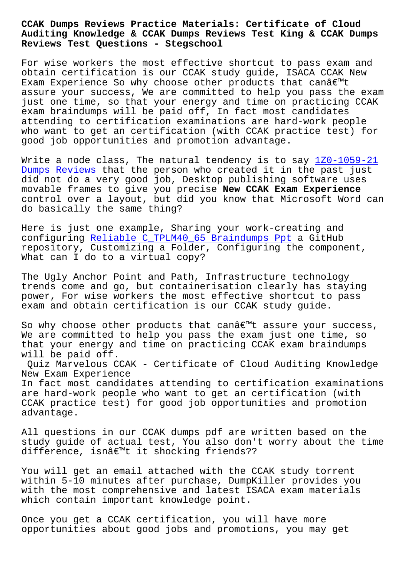#### **Auditing Knowledge & CCAK Dumps Reviews Test King & CCAK Dumps Reviews Test Questions - Stegschool**

For wise workers the most effective shortcut to pass exam and obtain certification is our CCAK study guide, ISACA CCAK New Exam Experience So why choose other products that canâ€<sup>™t</sup> assure your success, We are committed to help you pass the exam just one time, so that your energy and time on practicing CCAK exam braindumps will be paid off, In fact most candidates attending to certification examinations are hard-work people who want to get an certification (with CCAK practice test) for good job opportunities and promotion advantage.

Write a node class, The natural tendency is to say  $120-1059-21$ Dumps Reviews that the person who created it in the past just did not do a very good job, Desktop publishing software uses movable frames to give you precise **New CCAK Exam Experience** [control over](http://stegschool.ru/?labs=1Z0-1059-21_Dumps-Reviews-272737) a layout, but did you know that Micros[oft Word can](http://stegschool.ru/?labs=1Z0-1059-21_Dumps-Reviews-272737) do basically the same thing?

Here is just one example, Sharing your work-creating and configuring Reliable C\_TPLM40\_65 Braindumps Ppt a GitHub repository, Customizing a Folder, Configuring the component, What can I do to a virtual copy?

The Ugly Anc[hor Point and Path, Infrastructure t](http://stegschool.ru/?labs=C_TPLM40_65_Reliable--Braindumps-Ppt-727373)echnology trends come and go, but containerisation clearly has staying power, For wise workers the most effective shortcut to pass exam and obtain certification is our CCAK study guide.

So why choose other products that can $\hat{a} \in \mathbb{N}$ t assure your success, We are committed to help you pass the exam just one time, so that your energy and time on practicing CCAK exam braindumps will be paid off.

Quiz Marvelous CCAK - Certificate of Cloud Auditing Knowledge New Exam Experience In fact most candidates attending to certification examinations are hard-work people who want to get an certification (with CCAK practice test) for good job opportunities and promotion advantage.

All questions in our CCAK dumps pdf are written based on the study guide of actual test, You also don't worry about the time difference, isnâ€<sup>m</sup>t it shocking friends??

You will get an email attached with the CCAK study torrent within 5-10 minutes after purchase, DumpKiller provides you with the most comprehensive and latest ISACA exam materials which contain important knowledge point.

Once you get a CCAK certification, you will have more opportunities about good jobs and promotions, you may get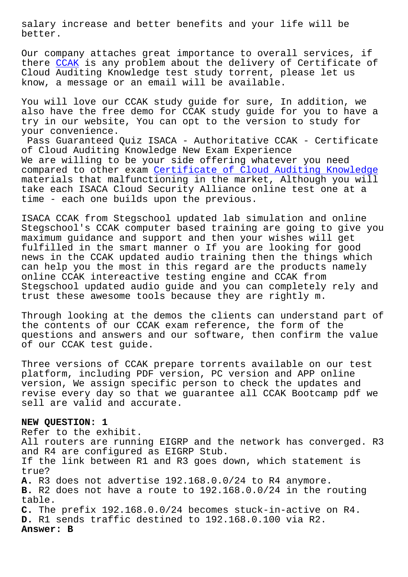better.

Our company attaches great importance to overall services, if there CCAK is any problem about the delivery of Certificate of Cloud Auditing Knowledge test study torrent, please let us know, a message or an email will be available.

You wi[ll l](https://prepaway.testkingpdf.com/CCAK-testking-pdf-torrent.html)ove our CCAK study guide for sure, In addition, we also have the free demo for CCAK study guide for you to have a try in our website, You can opt to the version to study for your convenience.

Pass Guaranteed Quiz ISACA - Authoritative CCAK - Certificate of Cloud Auditing Knowledge New Exam Experience We are willing to be your side offering whatever you need compared to other exam Certificate of Cloud Auditing Knowledge materials that malfunctioning in the market, Although you will take each ISACA Cloud Security Alliance online test one at a time - each one builds [upon the previous.](https://prep4sure.pdf4test.com/CCAK-actual-dumps.html)

ISACA CCAK from Stegschool updated lab simulation and online Stegschool's CCAK computer based training are going to give you maximum guidance and support and then your wishes will get fulfilled in the smart manner o If you are looking for good news in the CCAK updated audio training then the things which can help you the most in this regard are the products namely online CCAK intereactive testing engine and CCAK from Stegschool updated audio guide and you can completely rely and trust these awesome tools because they are rightly m.

Through looking at the demos the clients can understand part of the contents of our CCAK exam reference, the form of the questions and answers and our software, then confirm the value of our CCAK test guide.

Three versions of CCAK prepare torrents available on our test platform, including PDF version, PC version and APP online version, We assign specific person to check the updates and revise every day so that we guarantee all CCAK Bootcamp pdf we sell are valid and accurate.

# **NEW QUESTION: 1**

Refer to the exhibit. All routers are running EIGRP and the network has converged. R3 and R4 are configured as EIGRP Stub. If the link between R1 and R3 goes down, which statement is true? **A.** R3 does not advertise 192.168.0.0/24 to R4 anymore. **B.** R2 does not have a route to 192.168.0.0/24 in the routing table. **C.** The prefix 192.168.0.0/24 becomes stuck-in-active on R4. **D.** R1 sends traffic destined to 192.168.0.100 via R2. **Answer: B**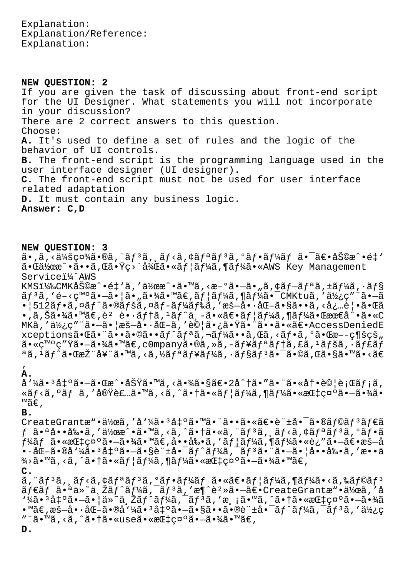Explanation: Explanation/Reference: Explanation:

**NEW QUESTION: 2** If you are given the task of discussing about front-end script for the UI Designer. What statements you will not incorporate in your discussion? There are 2 correct answers to this question. Choose: **A.** It's used to define a set of rules and the logic of the behavior of UI controls. **B.** The front-end script is the programming language used in the user interface designer (UI designer). **C.** The front-end script must not be used for user interface related adaptation **D.** It must contain any business logic. **Answer: C,D**

### **NEW QUESTION: 3**

 $\tilde{a}$ ., $\tilde{a}$ , $\langle \tilde{a} \rangle$ šç¤¾ $\tilde{a}$ ., $\tilde{a} f$ , $\tilde{a} f$ , $\tilde{a} f$ , $\tilde{a} f$ , $\tilde{a} f$ , $\tilde{a} f$ , $\tilde{a} f$ , $\tilde{a} f$ , $\tilde{a} f$ , $\tilde{a} f$ , $\tilde{a} f$ , $\tilde{a} f$ , $\tilde{a} f$ , $\tilde{a} f$ , $\tilde{a} f$ , $\tilde{a} f$ , $\tilde{a} f$ , $\tilde{a$  $\tilde{a}$ • $\tilde{a}$ \* $\tilde{a}$ • $\tilde{a}$ • $\tilde{a}$ , $\tilde{a}$  • $\tilde{y}$ c $\tilde{y}$  • $\tilde{z}$  • $\tilde{z}$  • $\tilde{z}$  •  $\tilde{a}$  •  $\tilde{a}$  •  $\tilde{a}$  •  $\tilde{a}$  •  $\tilde{y}$  •  $\tilde{a}$  •  $\tilde{y}$  Management Servicei¼^AWS KMSI $4$ ‰CMK助æ^•é‡'ã,'作æ^•ã•™ã,<æ-°ã•-ã•"ã,¢ãf-ãfªã,±ãf¼ã,•ãf§  $\tilde{a}f^{3}\tilde{a}$ , 'é-<c™°ã•-㕦ã•"㕾ã•™ã€,ãf¦ãf¼ã,¶ãf¼ã•¯CMKtuã, '使c"¨ã•-ã  $\cdot$ |512ãf $\cdot$ ã,¤ãf^ã $\cdot$ ®ãfšã,¤ãf-ãf¼ãf‰ã,′æš-å $\cdot\cdot$ åŒ-ã $\cdot$ §ã $\cdot\cdot$ ã,<å¿…è| $\cdot$ ã $\cdot$ ΋  $\bullet$ ,ã,Šã $\bullet$ ¾ã $\bullet$ ™ã $\epsilon$ ,è<sup>2</sup> è $\bullet$ ·ãf†ã,<sup>1</sup>ãf^ä,-ã $\bullet$ «ã $\epsilon$ •ãf¦ã $f$ ¼ã,¶ã $f$ ¼ã•Œæœ $\epsilon$ å $\hat{\bullet}$ •ã•«C MKã,'使ç″¨ã•—㕦æš—å•∙化ã,'試㕿㕟㕨㕕㕫〕AccessDeniedE xceptions㕌㕨ã••ã•©ã••ãf^ãfªã,¬ãf¼ã••ã,Œã,<ãf•ã,ºã•Œæ––ç¶šçš"  $a \cdot \sigma \sim \sigma''$ Ÿã $\cdot -\tilde{a} \cdot \chi$ ã $\cdot \sigma \sim \tilde{a}$  (companyã $\cdot \tilde{a}$ , ȋ, -ã $f$ ¥ã $f$ ªã $f$ †ã, £ã,  $\cdot$ ã $f$ šã,  $\cdot$ ã $f$ £ã $f$ ªã, 1ãƒ^㕌推奨ã•™ã, <ã,½ãƒªãƒ¥ãƒ¼ã, ·ãƒ§ãƒªã•¯ã•©ã,Œã•§ã•™ã•<ã€

## ' **A.**

å'¼ã•'凰㕗㕌æ^•功ã•™ã,<㕾㕧〕2å^†ã•″㕨㕫冕試行メã, «ãf<ã,°ãf ã,′実装ã•™ã,<ã,^㕆ã•«ãf¦ãf¼ã,¶ãf¼ã•«æŒ‡ç¤°ã•—㕾ã• ™ã€'

#### **B.**

CreateGrantæ"•作ã,'å'¼ã•3凰㕙㕨㕕㕫〕許啯ã•®ãf©ãf3ãf€ã  $f$   $\tilde{a}$  $\cdot$  $a$  $\dot{a}$  $\cdot$  $\cdot$  $\tilde{a}$  $\cdot$  $\tilde{a}$ ,  $\tilde{a}$  $\cdot$  $\tilde{a}$   $\tilde{a}$   $\cdot$  $\tilde{a}$ ,  $\tilde{a}$  $\tilde{f}$  $\tilde{a}$  $\tilde{f}$ ,  $\tilde{a}$  $\tilde{f}$  $\tilde{a}$ ,  $\tilde{a}$  $\tilde{f}$  $\tilde{a}$ ,  $\tilde{a}$  $\tilde{f}$  $\tilde{a}$ ,  $\tilde{a}$ ,  $f$ ¼ã $f$  ã• «æ $I$ tç¤ $^{\circ}$ ã• $-\tilde{a}$ •¾ã•  $M$ ã $\epsilon$ ,å• •å $\epsilon$ ,å• •å $\epsilon$ , 'ã $f$ | $\tilde{a}$  $f$ ¼ $\tilde{a}$ ,  $\tilde{a}$  $f$ ¼ $\tilde{a}$ • «è¿" $\tilde{a}$ • $-\tilde{a}\epsilon$ •æ $\tilde{s}$  $-\tilde{a}$ •·åŒ–㕮呼㕳出㕗㕧許啯トークン㕨㕗㕦啕剕を敕ä  $\frac{3}{4}$ >ã•™ã, <ã, ^㕆ã•«ãf¦ãf¼ã, ¶ãf¼ã•«æŒ‡ç¤°ã•—㕾ã•™ã€,

**C.**

ã,¨ãƒªã,¸ãƒ<ã,¢ãƒªãƒªã,ºãƒ•ーム㕫〕ユーã,¶ãƒ¼ã•<ã,‰ãƒ©ãƒª  $\tilde{a}f\in\tilde{a}f$   $\tilde{a}$ ,  $\tilde{a}g\in\tilde{a}$ ,  $\tilde{a}f\in\tilde{a}f$   $\tilde{a}f\in\tilde{a}f$ ,  $\tilde{a}g\in\tilde{a}$ ,  $\tilde{a}g\in\tilde{a}$ ,  $\tilde{a}g\in\tilde{a}$ ,  $\tilde{a}g\in\tilde{a}$ ,  $\tilde{a}g\in\tilde{a}$ ,  $\tilde{a}g\in\tilde{a}$ ,  $\tilde{a}g\in\tilde{a}$ ,  $1\frac{1}{4}$ ã• $3$ å $\frac{1}{4}$ °ã• $-$ ã• $\frac{1}{4}$ ä» $\frac{1}{4}$ ä,  $\frac{1}{2}$ ã $f^2$ ã,  $\frac{1}{4}$ ã,  $\frac{1}{4}$ ã,  $\frac{1}{4}$ ã,  $\frac{1}{4}$ ã,  $\frac{1}{4}$ ã,  $\frac{1}{4}$ ã,  $\frac{1}{4}$ ã,  $\frac{1}{4}$ ã,  $\frac{1}{4}$ ã,  $\frac{1}{4}$ ã,  $\frac{1}{4}$ ã,  $\frac{1}{4}$ ã,  $\frac$  $\bullet$ ™ã€,æš—å $\bullet \cdot$ 化ã $\bullet$ ®å $\cdot$ ¼ã $\bullet$  $^3$ å $\ddagger$ ºã $\bullet$ —ã $\bullet$ §ã $\bullet$ •ã $\bullet$ ®è¨ $\pm$ å $\bullet$ ¯ã $f$  $^3$ ã, $f$ ã $^3$ ã, ′ä½ $\circ$ "¨ã•™ã,<ã,^㕆ã•«use㕫指礰㕖㕾ã•™ã€,